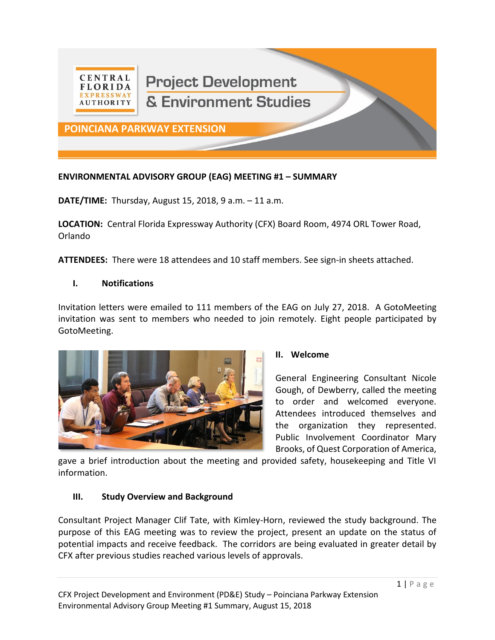

# **Project Development** & Environment Studies

**POINCIANA PARKWAY EXTENSION**

#### **ENVIRONMENTAL ADVISORY GROUP (EAG) MEETING #1 – SUMMARY**

**DATE/TIME:** Thursday, August 15, 2018, 9 a.m. – 11 a.m.

**LOCATION:** Central Florida Expressway Authority (CFX) Board Room, 4974 ORL Tower Road, Orlando

**ATTENDEES:** There were 18 attendees and 10 staff members. See sign-in sheets attached.

#### **I. Notifications**

Invitation letters were emailed to 111 members of the EAG on July 27, 2018. A GotoMeeting invitation was sent to members who needed to join remotely. Eight people participated by GotoMeeting.



#### **II. Welcome**

General Engineering Consultant Nicole Gough, of Dewberry, called the meeting to order and welcomed everyone. Attendees introduced themselves and the organization they represented. Public Involvement Coordinator Mary Brooks, of Quest Corporation of America,

gave a brief introduction about the meeting and provided safety, housekeeping and Title VI information.

#### **III. Study Overview and Background**

Consultant Project Manager Clif Tate, with Kimley-Horn, reviewed the study background. The purpose of this EAG meeting was to review the project, present an update on the status of potential impacts and receive feedback. The corridors are being evaluated in greater detail by CFX after previous studies reached various levels of approvals.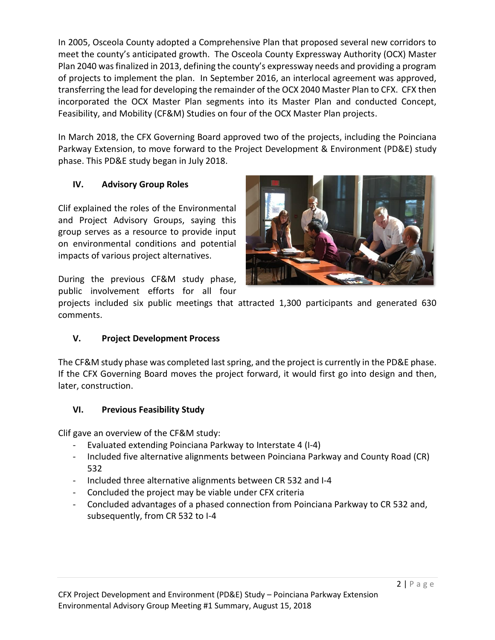In 2005, Osceola County adopted a Comprehensive Plan that proposed several new corridors to meet the county's anticipated growth. The Osceola County Expressway Authority (OCX) Master Plan 2040 was finalized in 2013, defining the county's expressway needs and providing a program of projects to implement the plan. In September 2016, an interlocal agreement was approved, transferring the lead for developing the remainder of the OCX 2040 Master Plan to CFX. CFX then incorporated the OCX Master Plan segments into its Master Plan and conducted Concept, Feasibility, and Mobility (CF&M) Studies on four of the OCX Master Plan projects.

In March 2018, the CFX Governing Board approved two of the projects, including the Poinciana Parkway Extension, to move forward to the Project Development & Environment (PD&E) study phase. This PD&E study began in July 2018.

# **IV. Advisory Group Roles**

Clif explained the roles of the Environmental and Project Advisory Groups, saying this group serves as a resource to provide input on environmental conditions and potential impacts of various project alternatives.



During the previous CF&M study phase, public involvement efforts for all four

projects included six public meetings that attracted 1,300 participants and generated 630 comments.

# **V. Project Development Process**

The CF&M study phase was completed last spring, and the project is currently in the PD&E phase. If the CFX Governing Board moves the project forward, it would first go into design and then, later, construction.

# **VI. Previous Feasibility Study**

Clif gave an overview of the CF&M study:

- Evaluated extending Poinciana Parkway to Interstate 4 (I-4)
- Included five alternative alignments between Poinciana Parkway and County Road (CR) 532
- Included three alternative alignments between CR 532 and I-4
- Concluded the project may be viable under CFX criteria
- Concluded advantages of a phased connection from Poinciana Parkway to CR 532 and, subsequently, from CR 532 to I-4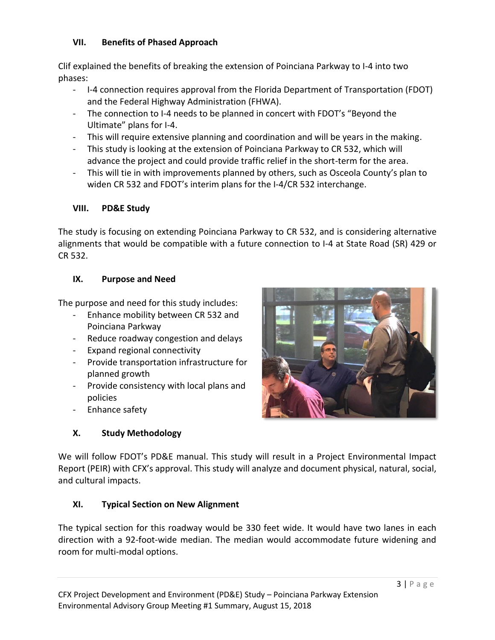#### **VII. Benefits of Phased Approach**

Clif explained the benefits of breaking the extension of Poinciana Parkway to I-4 into two phases:

- I-4 connection requires approval from the Florida Department of Transportation (FDOT) and the Federal Highway Administration (FHWA).
- The connection to I-4 needs to be planned in concert with FDOT's "Beyond the Ultimate" plans for I-4.
- This will require extensive planning and coordination and will be years in the making.
- This study is looking at the extension of Poinciana Parkway to CR 532, which will advance the project and could provide traffic relief in the short-term for the area.
- This will tie in with improvements planned by others, such as Osceola County's plan to widen CR 532 and FDOT's interim plans for the I-4/CR 532 interchange.

#### **VIII. PD&E Study**

The study is focusing on extending Poinciana Parkway to CR 532, and is considering alternative alignments that would be compatible with a future connection to I-4 at State Road (SR) 429 or CR 532.

#### **IX. Purpose and Need**

The purpose and need for this study includes:

- Enhance mobility between CR 532 and Poinciana Parkway
- Reduce roadway congestion and delays
- Expand regional connectivity
- Provide transportation infrastructure for planned growth
- Provide consistency with local plans and policies
- Enhance safety

# **X. Study Methodology**



We will follow FDOT's PD&E manual. This study will result in a Project Environmental Impact Report (PEIR) with CFX's approval. This study will analyze and document physical, natural, social, and cultural impacts.

# **XI. Typical Section on New Alignment**

The typical section for this roadway would be 330 feet wide. It would have two lanes in each direction with a 92-foot-wide median. The median would accommodate future widening and room for multi-modal options.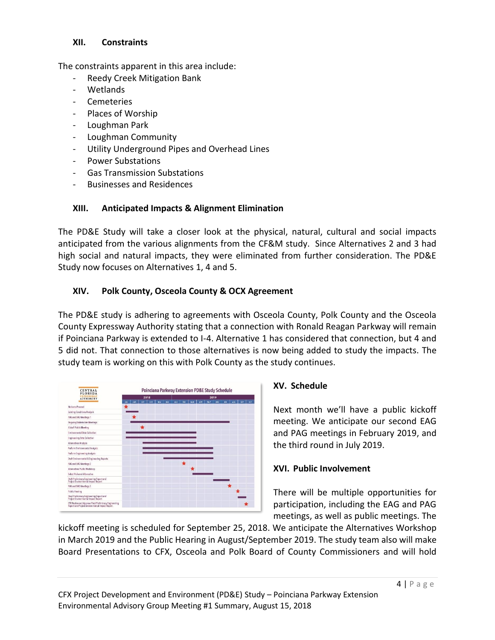#### **XII. Constraints**

The constraints apparent in this area include:

- Reedy Creek Mitigation Bank
- Wetlands
- **Cemeteries**
- Places of Worship
- Loughman Park
- Loughman Community
- Utility Underground Pipes and Overhead Lines
- Power Substations
- Gas Transmission Substations
- Businesses and Residences

# **XIII. Anticipated Impacts & Alignment Elimination**

The PD&E Study will take a closer look at the physical, natural, cultural and social impacts anticipated from the various alignments from the CF&M study. Since Alternatives 2 and 3 had high social and natural impacts, they were eliminated from further consideration. The PD&E Study now focuses on Alternatives 1, 4 and 5.

# **XIV. Polk County, Osceola County & OCX Agreement**

The PD&E study is adhering to agreements with Osceola County, Polk County and the Osceola County Expressway Authority stating that a connection with Ronald Reagan Parkway will remain if Poinciana Parkway is extended to I-4. Alternative 1 has considered that connection, but 4 and 5 did not. That connection to those alternatives is now being added to study the impacts. The study team is working on this with Polk County as the study continues.



# **XV. Schedule**

Next month we'll have a public kickoff meeting. We anticipate our second EAG and PAG meetings in February 2019, and the third round in July 2019.

# **XVI. Public Involvement**

There will be multiple opportunities for participation, including the EAG and PAG meetings, as well as public meetings. The

kickoff meeting is scheduled for September 25, 2018. We anticipate the Alternatives Workshop in March 2019 and the Public Hearing in August/September 2019. The study team also will make Board Presentations to CFX, Osceola and Polk Board of County Commissioners and will hold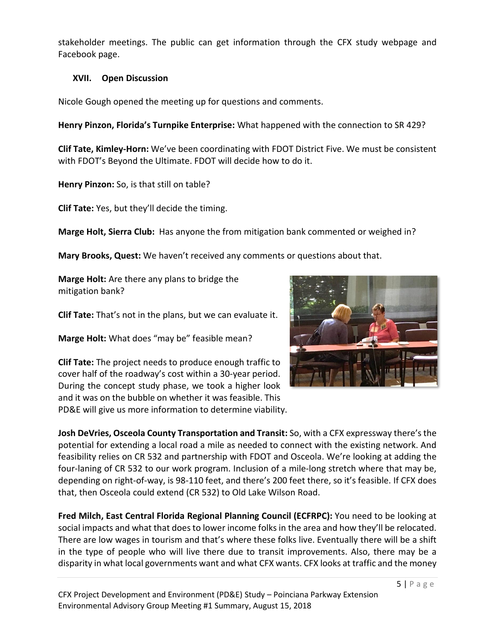stakeholder meetings. The public can get information through the CFX study webpage and Facebook page.

# **XVII. Open Discussion**

Nicole Gough opened the meeting up for questions and comments.

**Henry Pinzon, Florida's Turnpike Enterprise:** What happened with the connection to SR 429?

**Clif Tate, Kimley-Horn:** We've been coordinating with FDOT District Five. We must be consistent with FDOT's Beyond the Ultimate. FDOT will decide how to do it.

**Henry Pinzon:** So, is that still on table?

**Clif Tate:** Yes, but they'll decide the timing.

**Marge Holt, Sierra Club:** Has anyone the from mitigation bank commented or weighed in?

**Mary Brooks, Quest:** We haven't received any comments or questions about that.

**Marge Holt:** Are there any plans to bridge the mitigation bank?

**Clif Tate:** That's not in the plans, but we can evaluate it.

**Marge Holt:** What does "may be" feasible mean?

**Clif Tate:** The project needs to produce enough traffic to cover half of the roadway's cost within a 30-year period. During the concept study phase, we took a higher look and it was on the bubble on whether it was feasible. This PD&E will give us more information to determine viability.



**Josh DeVries, Osceola County Transportation and Transit:** So, with a CFX expressway there's the potential for extending a local road a mile as needed to connect with the existing network. And feasibility relies on CR 532 and partnership with FDOT and Osceola. We're looking at adding the four-laning of CR 532 to our work program. Inclusion of a mile-long stretch where that may be, depending on right-of-way, is 98-110 feet, and there's 200 feet there, so it's feasible. If CFX does that, then Osceola could extend (CR 532) to Old Lake Wilson Road.

**Fred Milch, East Central Florida Regional Planning Council (ECFRPC):** You need to be looking at social impacts and what that does to lower income folks in the area and how they'll be relocated. There are low wages in tourism and that's where these folks live. Eventually there will be a shift in the type of people who will live there due to transit improvements. Also, there may be a disparity in what local governments want and what CFX wants. CFX looks at traffic and the money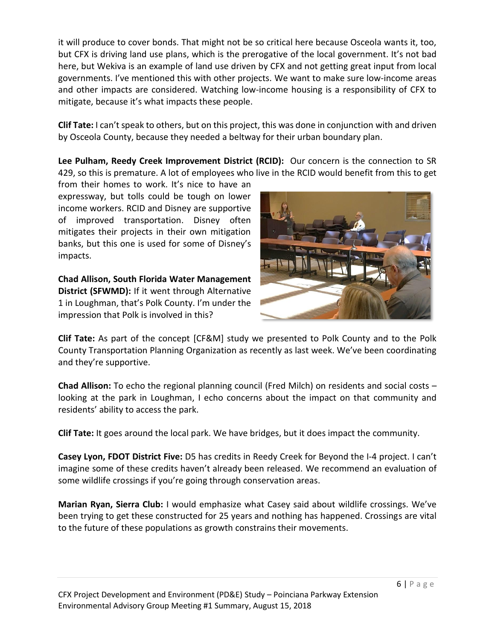it will produce to cover bonds. That might not be so critical here because Osceola wants it, too, but CFX is driving land use plans, which is the prerogative of the local government. It's not bad here, but Wekiva is an example of land use driven by CFX and not getting great input from local governments. I've mentioned this with other projects. We want to make sure low-income areas and other impacts are considered. Watching low-income housing is a responsibility of CFX to mitigate, because it's what impacts these people.

**Clif Tate:** I can't speak to others, but on this project, this was done in conjunction with and driven by Osceola County, because they needed a beltway for their urban boundary plan.

**Lee Pulham, Reedy Creek Improvement District (RCID):** Our concern is the connection to SR 429, so this is premature. A lot of employees who live in the RCID would benefit from this to get

from their homes to work. It's nice to have an expressway, but tolls could be tough on lower income workers. RCID and Disney are supportive of improved transportation. Disney often mitigates their projects in their own mitigation banks, but this one is used for some of Disney's impacts.

**Chad Allison, South Florida Water Management District (SFWMD):** If it went through Alternative 1 in Loughman, that's Polk County. I'm under the impression that Polk is involved in this?



**Clif Tate:** As part of the concept [CF&M] study we presented to Polk County and to the Polk County Transportation Planning Organization as recently as last week. We've been coordinating and they're supportive.

**Chad Allison:** To echo the regional planning council (Fred Milch) on residents and social costs – looking at the park in Loughman, I echo concerns about the impact on that community and residents' ability to access the park.

**Clif Tate:** It goes around the local park. We have bridges, but it does impact the community.

**Casey Lyon, FDOT District Five:** D5 has credits in Reedy Creek for Beyond the I-4 project. I can't imagine some of these credits haven't already been released. We recommend an evaluation of some wildlife crossings if you're going through conservation areas.

**Marian Ryan, Sierra Club:** I would emphasize what Casey said about wildlife crossings. We've been trying to get these constructed for 25 years and nothing has happened. Crossings are vital to the future of these populations as growth constrains their movements.